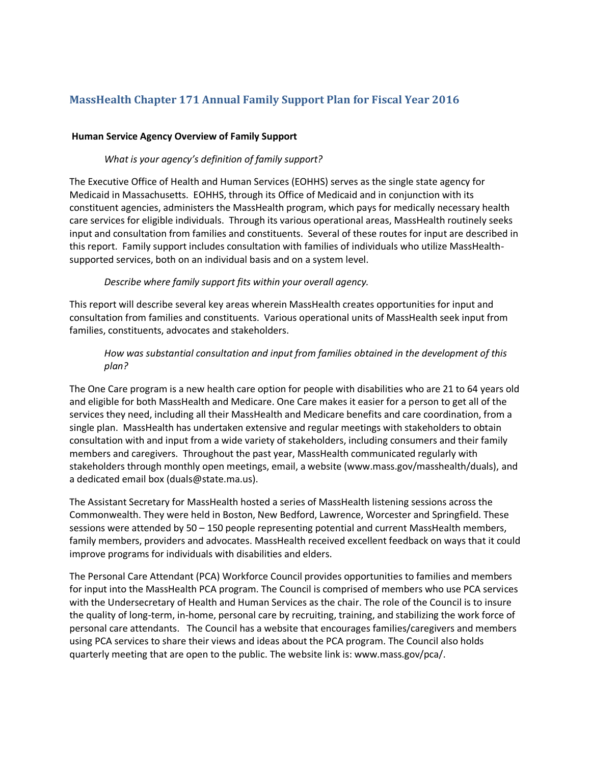# **MassHealth Chapter 171 Annual Family Support Plan for Fiscal Year 2016**

#### **Human Service Agency Overview of Family Support**

#### *What is your agency's definition of family support?*

The Executive Office of Health and Human Services (EOHHS) serves as the single state agency for Medicaid in Massachusetts. EOHHS, through its Office of Medicaid and in conjunction with its constituent agencies, administers the MassHealth program, which pays for medically necessary health care services for eligible individuals. Through its various operational areas, MassHealth routinely seeks input and consultation from families and constituents. Several of these routes for input are described in this report. Family support includes consultation with families of individuals who utilize MassHealthsupported services, both on an individual basis and on a system level.

#### *Describe where family support fits within your overall agency.*

This report will describe several key areas wherein MassHealth creates opportunities for input and consultation from families and constituents. Various operational units of MassHealth seek input from families, constituents, advocates and stakeholders.

# *How was substantial consultation and input from families obtained in the development of this plan?*

The One Care program is a new health care option for people with disabilities who are 21 to 64 years old and eligible for both MassHealth and Medicare. One Care makes it easier for a person to get all of the services they need, including all their MassHealth and Medicare benefits and care coordination, from a single plan. MassHealth has undertaken extensive and regular meetings with stakeholders to obtain consultation with and input from a wide variety of stakeholders, including consumers and their family members and caregivers. Throughout the past year, MassHealth communicated regularly with stakeholders through monthly open meetings, email, a website (www.mass.gov/masshealth/duals), and a dedicated email box (duals@state.ma.us).

The Assistant Secretary for MassHealth hosted a series of MassHealth listening sessions across the Commonwealth. They were held in Boston, New Bedford, Lawrence, Worcester and Springfield. These sessions were attended by 50 – 150 people representing potential and current MassHealth members, family members, providers and advocates. MassHealth received excellent feedback on ways that it could improve programs for individuals with disabilities and elders.

The Personal Care Attendant (PCA) Workforce Council provides opportunities to families and members for input into the MassHealth PCA program. The Council is comprised of members who use PCA services with the Undersecretary of Health and Human Services as the chair. The role of the Council is to insure the quality of long-term, in-home, personal care by recruiting, training, and stabilizing the work force of personal care attendants. The Council has a website that encourages families/caregivers and members using PCA services to share their views and ideas about the PCA program. The Council also holds quarterly meeting that are open to the public. The website link is: www.mass.gov/pca/.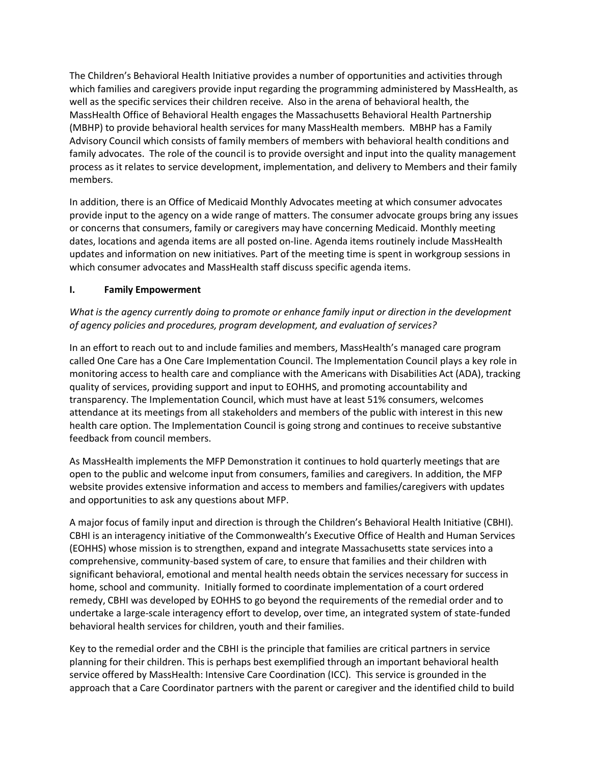The Children's Behavioral Health Initiative provides a number of opportunities and activities through which families and caregivers provide input regarding the programming administered by MassHealth, as well as the specific services their children receive. Also in the arena of behavioral health, the MassHealth Office of Behavioral Health engages the Massachusetts Behavioral Health Partnership (MBHP) to provide behavioral health services for many MassHealth members. MBHP has a Family Advisory Council which consists of family members of members with behavioral health conditions and family advocates. The role of the council is to provide oversight and input into the quality management process as it relates to service development, implementation, and delivery to Members and their family members.

In addition, there is an Office of Medicaid Monthly Advocates meeting at which consumer advocates provide input to the agency on a wide range of matters. The consumer advocate groups bring any issues or concerns that consumers, family or caregivers may have concerning Medicaid. Monthly meeting dates, locations and agenda items are all posted on-line. Agenda items routinely include MassHealth updates and information on new initiatives. Part of the meeting time is spent in workgroup sessions in which consumer advocates and MassHealth staff discuss specific agenda items.

#### **I. Family Empowerment**

# *What is the agency currently doing to promote or enhance family input or direction in the development of agency policies and procedures, program development, and evaluation of services?*

In an effort to reach out to and include families and members, MassHealth's managed care program called One Care has a One Care Implementation Council. The Implementation Council plays a key role in monitoring access to health care and compliance with the Americans with Disabilities Act (ADA), tracking quality of services, providing support and input to EOHHS, and promoting accountability and transparency. The Implementation Council, which must have at least 51% consumers, welcomes attendance at its meetings from all stakeholders and members of the public with interest in this new health care option. The Implementation Council is going strong and continues to receive substantive feedback from council members.

As MassHealth implements the MFP Demonstration it continues to hold quarterly meetings that are open to the public and welcome input from consumers, families and caregivers. In addition, the MFP website provides extensive information and access to members and families/caregivers with updates and opportunities to ask any questions about MFP.

A major focus of family input and direction is through the Children's Behavioral Health Initiative (CBHI). CBHI is an interagency initiative of the Commonwealth's Executive Office of Health and Human Services (EOHHS) whose mission is to strengthen, expand and integrate Massachusetts state services into a comprehensive, community-based system of care, to ensure that families and their children with significant behavioral, emotional and mental health needs obtain the services necessary for success in home, school and community. Initially formed to coordinate implementation of a court ordered remedy, CBHI was developed by EOHHS to go beyond the requirements of the remedial order and to undertake a large-scale interagency effort to develop, over time, an integrated system of state-funded behavioral health services for children, youth and their families.

Key to the remedial order and the CBHI is the principle that families are critical partners in service planning for their children. This is perhaps best exemplified through an important behavioral health service offered by MassHealth: Intensive Care Coordination (ICC). This service is grounded in the approach that a Care Coordinator partners with the parent or caregiver and the identified child to build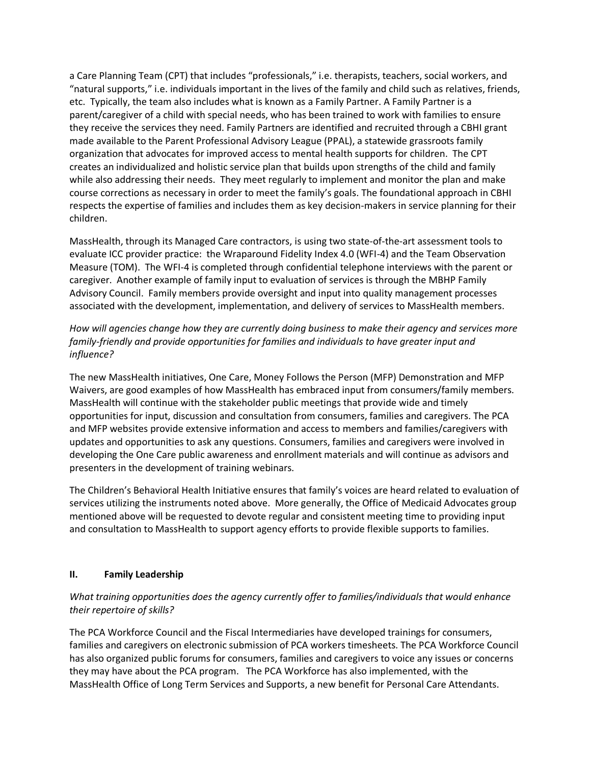a Care Planning Team (CPT) that includes "professionals," i.e. therapists, teachers, social workers, and "natural supports," i.e. individuals important in the lives of the family and child such as relatives, friends, etc. Typically, the team also includes what is known as a Family Partner. A Family Partner is a parent/caregiver of a child with special needs, who has been trained to work with families to ensure they receive the services they need. Family Partners are identified and recruited through a CBHI grant made available to the Parent Professional Advisory League (PPAL), a statewide grassroots family organization that advocates for improved access to mental health supports for children. The CPT creates an individualized and holistic service plan that builds upon strengths of the child and family while also addressing their needs. They meet regularly to implement and monitor the plan and make course corrections as necessary in order to meet the family's goals. The foundational approach in CBHI respects the expertise of families and includes them as key decision-makers in service planning for their children.

MassHealth, through its Managed Care contractors, is using two state-of-the-art assessment tools to evaluate ICC provider practice: the Wraparound Fidelity Index 4.0 (WFI-4) and the Team Observation Measure (TOM). The WFI-4 is completed through confidential telephone interviews with the parent or caregiver. Another example of family input to evaluation of services is through the MBHP Family Advisory Council. Family members provide oversight and input into quality management processes associated with the development, implementation, and delivery of services to MassHealth members.

*How will agencies change how they are currently doing business to make their agency and services more*  family-friendly and provide opportunities for families and individuals to have greater input and *influence?*

The new MassHealth initiatives, One Care, Money Follows the Person (MFP) Demonstration and MFP Waivers, are good examples of how MassHealth has embraced input from consumers/family members. MassHealth will continue with the stakeholder public meetings that provide wide and timely opportunities for input, discussion and consultation from consumers, families and caregivers. The PCA and MFP websites provide extensive information and access to members and families/caregivers with updates and opportunities to ask any questions. Consumers, families and caregivers were involved in developing the One Care public awareness and enrollment materials and will continue as advisors and presenters in the development of training webinars.

The Children's Behavioral Health Initiative ensures that family's voices are heard related to evaluation of services utilizing the instruments noted above. More generally, the Office of Medicaid Advocates group mentioned above will be requested to devote regular and consistent meeting time to providing input and consultation to MassHealth to support agency efforts to provide flexible supports to families.

#### **II. Family Leadership**

# *What training opportunities does the agency currently offer to families/individuals that would enhance their repertoire of skills?*

The PCA Workforce Council and the Fiscal Intermediaries have developed trainings for consumers, families and caregivers on electronic submission of PCA workers timesheets. The PCA Workforce Council has also organized public forums for consumers, families and caregivers to voice any issues or concerns they may have about the PCA program. The PCA Workforce has also implemented, with the MassHealth Office of Long Term Services and Supports, a new benefit for Personal Care Attendants.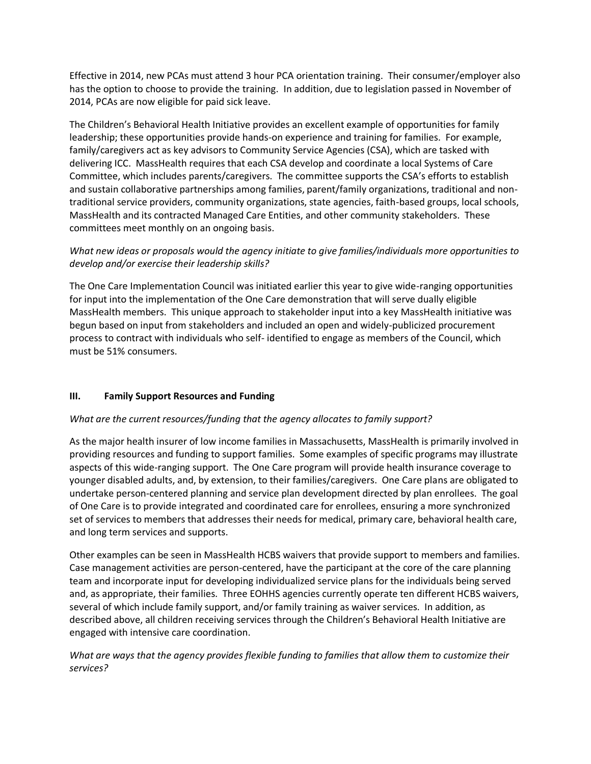Effective in 2014, new PCAs must attend 3 hour PCA orientation training. Their consumer/employer also has the option to choose to provide the training. In addition, due to legislation passed in November of 2014, PCAs are now eligible for paid sick leave.

The Children's Behavioral Health Initiative provides an excellent example of opportunities for family leadership; these opportunities provide hands-on experience and training for families. For example, family/caregivers act as key advisors to Community Service Agencies (CSA), which are tasked with delivering ICC. MassHealth requires that each CSA develop and coordinate a local Systems of Care Committee, which includes parents/caregivers. The committee supports the CSA's efforts to establish and sustain collaborative partnerships among families, parent/family organizations, traditional and nontraditional service providers, community organizations, state agencies, faith-based groups, local schools, MassHealth and its contracted Managed Care Entities, and other community stakeholders. These committees meet monthly on an ongoing basis.

# *What new ideas or proposals would the agency initiate to give families/individuals more opportunities to develop and/or exercise their leadership skills?*

The One Care Implementation Council was initiated earlier this year to give wide-ranging opportunities for input into the implementation of the One Care demonstration that will serve dually eligible MassHealth members. This unique approach to stakeholder input into a key MassHealth initiative was begun based on input from stakeholders and included an open and widely-publicized procurement process to contract with individuals who self- identified to engage as members of the Council, which must be 51% consumers.

# **III. Family Support Resources and Funding**

# *What are the current resources/funding that the agency allocates to family support?*

As the major health insurer of low income families in Massachusetts, MassHealth is primarily involved in providing resources and funding to support families. Some examples of specific programs may illustrate aspects of this wide-ranging support. The One Care program will provide health insurance coverage to younger disabled adults, and, by extension, to their families/caregivers. One Care plans are obligated to undertake person-centered planning and service plan development directed by plan enrollees. The goal of One Care is to provide integrated and coordinated care for enrollees, ensuring a more synchronized set of services to members that addresses their needs for medical, primary care, behavioral health care, and long term services and supports.

Other examples can be seen in MassHealth HCBS waivers that provide support to members and families. Case management activities are person-centered, have the participant at the core of the care planning team and incorporate input for developing individualized service plans for the individuals being served and, as appropriate, their families. Three EOHHS agencies currently operate ten different HCBS waivers, several of which include family support, and/or family training as waiver services. In addition, as described above, all children receiving services through the Children's Behavioral Health Initiative are engaged with intensive care coordination.

# *What are ways that the agency provides flexible funding to families that allow them to customize their services?*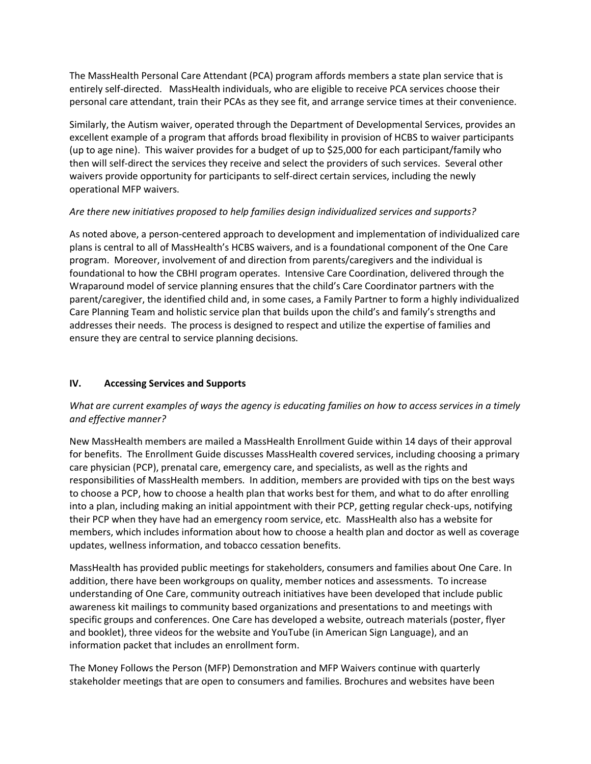The MassHealth Personal Care Attendant (PCA) program affords members a state plan service that is entirely self-directed. MassHealth individuals, who are eligible to receive PCA services choose their personal care attendant, train their PCAs as they see fit, and arrange service times at their convenience.

Similarly, the Autism waiver, operated through the Department of Developmental Services, provides an excellent example of a program that affords broad flexibility in provision of HCBS to waiver participants (up to age nine). This waiver provides for a budget of up to \$25,000 for each participant/family who then will self-direct the services they receive and select the providers of such services. Several other waivers provide opportunity for participants to self-direct certain services, including the newly operational MFP waivers.

#### *Are there new initiatives proposed to help families design individualized services and supports?*

As noted above, a person-centered approach to development and implementation of individualized care plans is central to all of MassHealth's HCBS waivers, and is a foundational component of the One Care program. Moreover, involvement of and direction from parents/caregivers and the individual is foundational to how the CBHI program operates. Intensive Care Coordination, delivered through the Wraparound model of service planning ensures that the child's Care Coordinator partners with the parent/caregiver, the identified child and, in some cases, a Family Partner to form a highly individualized Care Planning Team and holistic service plan that builds upon the child's and family's strengths and addresses their needs. The process is designed to respect and utilize the expertise of families and ensure they are central to service planning decisions.

# **IV. Accessing Services and Supports**

# *What are current examples of ways the agency is educating families on how to access services in a timely and effective manner?*

New MassHealth members are mailed a MassHealth Enrollment Guide within 14 days of their approval for benefits. The Enrollment Guide discusses MassHealth covered services, including choosing a primary care physician (PCP), prenatal care, emergency care, and specialists, as well as the rights and responsibilities of MassHealth members. In addition, members are provided with tips on the best ways to choose a PCP, how to choose a health plan that works best for them, and what to do after enrolling into a plan, including making an initial appointment with their PCP, getting regular check-ups, notifying their PCP when they have had an emergency room service, etc. MassHealth also has a website for members, which includes information about how to choose a health plan and doctor as well as coverage updates, wellness information, and tobacco cessation benefits.

MassHealth has provided public meetings for stakeholders, consumers and families about One Care. In addition, there have been workgroups on quality, member notices and assessments. To increase understanding of One Care, community outreach initiatives have been developed that include public awareness kit mailings to community based organizations and presentations to and meetings with specific groups and conferences. One Care has developed a website, outreach materials (poster, flyer and booklet), three videos for the website and YouTube (in American Sign Language), and an information packet that includes an enrollment form.

The Money Follows the Person (MFP) Demonstration and MFP Waivers continue with quarterly stakeholder meetings that are open to consumers and families. Brochures and websites have been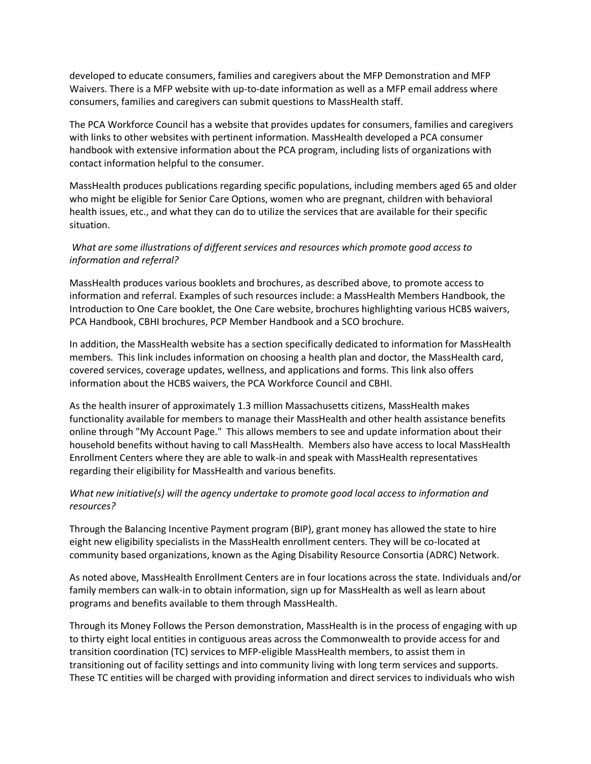developed to educate consumers, families and caregivers about the MFP Demonstration and MFP Waivers. There is a MFP website with up-to-date information as well as a MFP email address where consumers, families and caregivers can submit questions to MassHealth staff.

The PCA Workforce Council has a website that provides updates for consumers, families and caregivers with links to other websites with pertinent information. MassHealth developed a PCA consumer handbook with extensive information about the PCA program, including lists of organizations with contact information helpful to the consumer.

MassHealth produces publications regarding specific populations, including members aged 65 and older who might be eligible for Senior Care Options, women who are pregnant, children with behavioral health issues, etc., and what they can do to utilize the services that are available for their specific situation.

#### *What are some illustrations of different services and resources which promote good access to information and referral?*

MassHealth produces various booklets and brochures, as described above, to promote access to information and referral. Examples of such resources include: a MassHealth Members Handbook, the Introduction to One Care booklet, the One Care website, brochures highlighting various HCBS waivers, PCA Handbook, CBHI brochures, PCP Member Handbook and a SCO brochure.

In addition, the MassHealth website has a section specifically dedicated to information for MassHealth members. This link includes information on choosing a health plan and doctor, the MassHealth card, covered services, coverage updates, wellness, and applications and forms. This link also offers information about the HCBS waivers, the PCA Workforce Council and CBHI.

As the health insurer of approximately 1.3 million Massachusetts citizens, MassHealth makes functionality available for members to manage their MassHealth and other health assistance benefits online through "My Account Page." This allows members to see and update information about their household benefits without having to call MassHealth. Members also have access to local MassHealth Enrollment Centers where they are able to walk-in and speak with MassHealth representatives regarding their eligibility for MassHealth and various benefits.

# *What new initiative(s) will the agency undertake to promote good local access to information and resources?*

Through the Balancing Incentive Payment program (BIP), grant money has allowed the state to hire eight new eligibility specialists in the MassHealth enrollment centers. They will be co-located at community based organizations, known as the Aging Disability Resource Consortia (ADRC) Network.

As noted above, MassHealth Enrollment Centers are in four locations across the state. Individuals and/or family members can walk-in to obtain information, sign up for MassHealth as well as learn about programs and benefits available to them through MassHealth.

Through its Money Follows the Person demonstration, MassHealth is in the process of engaging with up to thirty eight local entities in contiguous areas across the Commonwealth to provide access for and transition coordination (TC) services to MFP-eligible MassHealth members, to assist them in transitioning out of facility settings and into community living with long term services and supports. These TC entities will be charged with providing information and direct services to individuals who wish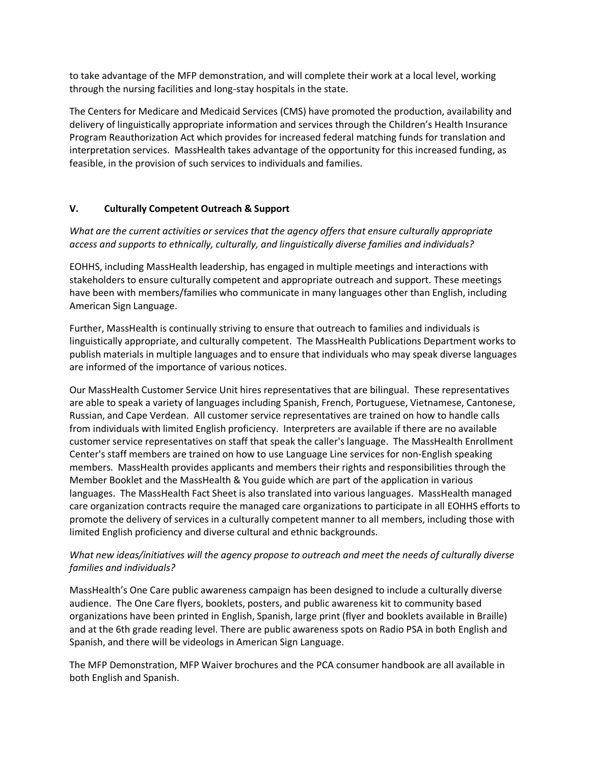to take advantage of the MFP demonstration, and will complete their work at a local level, working through the nursing facilities and long-stay hospitals in the state.

The Centers for Medicare and Medicaid Services (CMS) have promoted the production, availability and delivery of linguistically appropriate information and services through the Children's Health Insurance Program Reauthorization Act which provides for increased federal matching funds for translation and interpretation services. MassHealth takes advantage of the opportunity for this increased funding, as feasible, in the provision of such services to individuals and families.

#### **V. Culturally Competent Outreach & Support**

*What are the current activities or services that the agency offers that ensure culturally appropriate access and supports to ethnically, culturally, and linguistically diverse families and individuals?*

EOHHS, including MassHealth leadership, has engaged in multiple meetings and interactions with stakeholders to ensure culturally competent and appropriate outreach and support. These meetings have been with members/families who communicate in many languages other than English, including American Sign Language.

Further, MassHealth is continually striving to ensure that outreach to families and individuals is linguistically appropriate, and culturally competent. The MassHealth Publications Department works to publish materials in multiple languages and to ensure that individuals who may speak diverse languages are informed of the importance of various notices.

Our MassHealth Customer Service Unit hires representatives that are bilingual. These representatives are able to speak a variety of languages including Spanish, French, Portuguese, Vietnamese, Cantonese, Russian, and Cape Verdean. All customer service representatives are trained on how to handle calls from individuals with limited English proficiency. Interpreters are available if there are no available customer service representatives on staff that speak the caller's language. The MassHealth Enrollment Center's staff members are trained on how to use Language Line services for non-English speaking members. MassHealth provides applicants and members their rights and responsibilities through the Member Booklet and the MassHealth & You guide which are part of the application in various languages. The MassHealth Fact Sheet is also translated into various languages. MassHealth managed care organization contracts require the managed care organizations to participate in all EOHHS efforts to promote the delivery of services in a culturally competent manner to all members, including those with limited English proficiency and diverse cultural and ethnic backgrounds.

# *What new ideas/initiatives will the agency propose to outreach and meet the needs of culturally diverse families and individuals?*

MassHealth's One Care public awareness campaign has been designed to include a culturally diverse audience. The One Care flyers, booklets, posters, and public awareness kit to community based organizations have been printed in English, Spanish, large print (flyer and booklets available in Braille) and at the 6th grade reading level. There are public awareness spots on Radio PSA in both English and Spanish, and there will be videologs in American Sign Language.

The MFP Demonstration, MFP Waiver brochures and the PCA consumer handbook are all available in both English and Spanish.